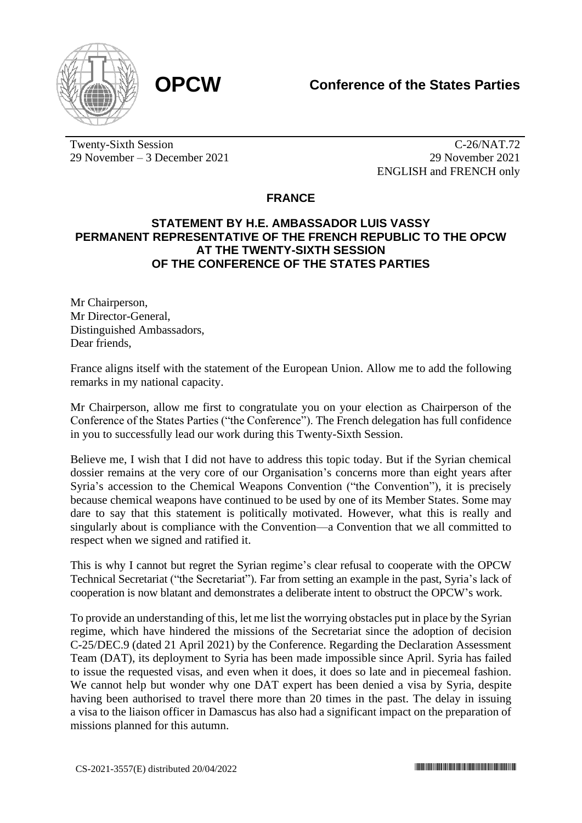

Twenty-Sixth Session 29 November – 3 December 2021

C-26/NAT.72 29 November 2021 ENGLISH and FRENCH only

## **FRANCE**

## **STATEMENT BY H.E. AMBASSADOR LUIS VASSY PERMANENT REPRESENTATIVE OF THE FRENCH REPUBLIC TO THE OPCW AT THE TWENTY-SIXTH SESSION OF THE CONFERENCE OF THE STATES PARTIES**

Mr Chairperson, Mr Director-General, Distinguished Ambassadors, Dear friends,

France aligns itself with the statement of the European Union. Allow me to add the following remarks in my national capacity.

Mr Chairperson, allow me first to congratulate you on your election as Chairperson of the Conference of the States Parties ("the Conference"). The French delegation has full confidence in you to successfully lead our work during this Twenty-Sixth Session.

Believe me, I wish that I did not have to address this topic today. But if the Syrian chemical dossier remains at the very core of our Organisation's concerns more than eight years after Syria's accession to the Chemical Weapons Convention ("the Convention"), it is precisely because chemical weapons have continued to be used by one of its Member States. Some may dare to say that this statement is politically motivated. However, what this is really and singularly about is compliance with the Convention—a Convention that we all committed to respect when we signed and ratified it.

This is why I cannot but regret the Syrian regime's clear refusal to cooperate with the OPCW Technical Secretariat ("the Secretariat"). Far from setting an example in the past, Syria's lack of cooperation is now blatant and demonstrates a deliberate intent to obstruct the OPCW's work.

To provide an understanding of this, let me list the worrying obstacles put in place by the Syrian regime, which have hindered the missions of the Secretariat since the adoption of decision C-25/DEC.9 (dated 21 April 2021) by the Conference. Regarding the Declaration Assessment Team (DAT), its deployment to Syria has been made impossible since April. Syria has failed to issue the requested visas, and even when it does, it does so late and in piecemeal fashion. We cannot help but wonder why one DAT expert has been denied a visa by Syria, despite having been authorised to travel there more than 20 times in the past. The delay in issuing a visa to the liaison officer in Damascus has also had a significant impact on the preparation of missions planned for this autumn.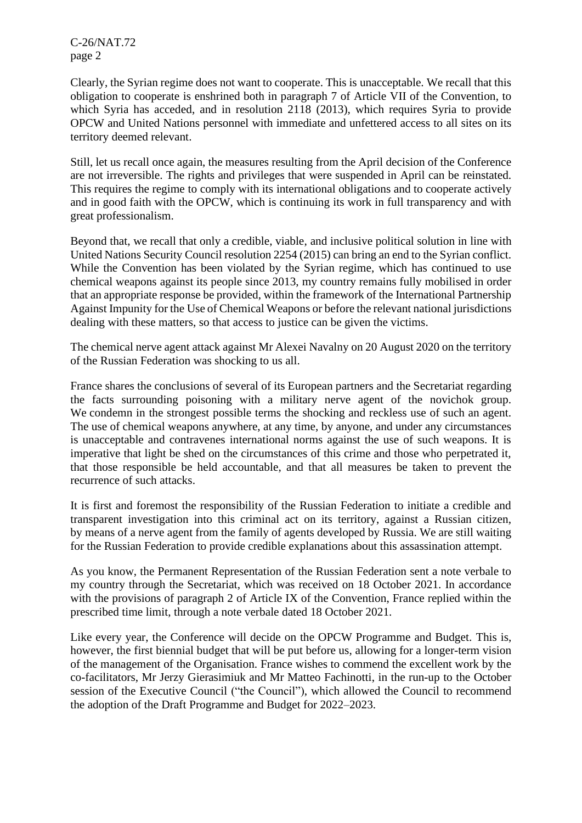C-26/NAT.72 page 2

Clearly, the Syrian regime does not want to cooperate. This is unacceptable. We recall that this obligation to cooperate is enshrined both in paragraph 7 of Article VII of the Convention, to which Syria has acceded, and in resolution 2118 (2013), which requires Syria to provide OPCW and United Nations personnel with immediate and unfettered access to all sites on its territory deemed relevant.

Still, let us recall once again, the measures resulting from the April decision of the Conference are not irreversible. The rights and privileges that were suspended in April can be reinstated. This requires the regime to comply with its international obligations and to cooperate actively and in good faith with the OPCW, which is continuing its work in full transparency and with great professionalism.

Beyond that, we recall that only a credible, viable, and inclusive political solution in line with United Nations Security Council resolution 2254 (2015) can bring an end to the Syrian conflict. While the Convention has been violated by the Syrian regime, which has continued to use chemical weapons against its people since 2013, my country remains fully mobilised in order that an appropriate response be provided, within the framework of the International Partnership Against Impunity for the Use of Chemical Weapons or before the relevant national jurisdictions dealing with these matters, so that access to justice can be given the victims.

The chemical nerve agent attack against Mr Alexei Navalny on 20 August 2020 on the territory of the Russian Federation was shocking to us all.

France shares the conclusions of several of its European partners and the Secretariat regarding the facts surrounding poisoning with a military nerve agent of the novichok group. We condemn in the strongest possible terms the shocking and reckless use of such an agent. The use of chemical weapons anywhere, at any time, by anyone, and under any circumstances is unacceptable and contravenes international norms against the use of such weapons. It is imperative that light be shed on the circumstances of this crime and those who perpetrated it, that those responsible be held accountable, and that all measures be taken to prevent the recurrence of such attacks.

It is first and foremost the responsibility of the Russian Federation to initiate a credible and transparent investigation into this criminal act on its territory, against a Russian citizen, by means of a nerve agent from the family of agents developed by Russia. We are still waiting for the Russian Federation to provide credible explanations about this assassination attempt.

As you know, the Permanent Representation of the Russian Federation sent a note verbale to my country through the Secretariat, which was received on 18 October 2021. In accordance with the provisions of paragraph 2 of Article IX of the Convention, France replied within the prescribed time limit, through a note verbale dated 18 October 2021.

Like every year, the Conference will decide on the OPCW Programme and Budget. This is, however, the first biennial budget that will be put before us, allowing for a longer-term vision of the management of the Organisation. France wishes to commend the excellent work by the co-facilitators, Mr Jerzy Gierasimiuk and Mr Matteo Fachinotti, in the run-up to the October session of the Executive Council ("the Council"), which allowed the Council to recommend the adoption of the Draft Programme and Budget for 2022–2023.